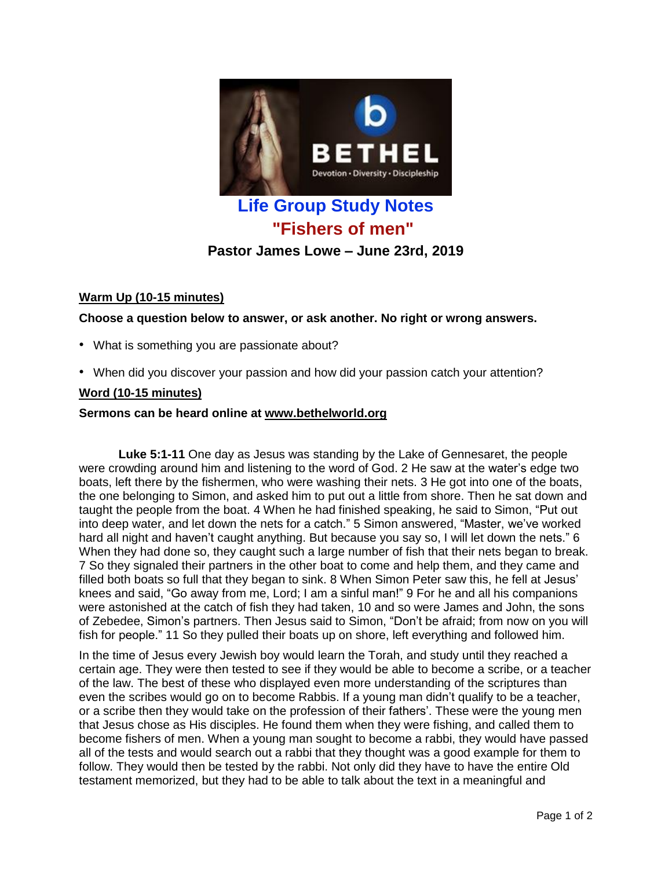

# **Life Group Study Notes "Fishers of men"**

## **Pastor James Lowe – June 23rd, 2019**

## **Warm Up (10-15 minutes)**

**Choose a question below to answer, or ask another. No right or wrong answers.**

- What is something you are passionate about?
- When did you discover your passion and how did your passion catch your attention?

#### **Word (10-15 minutes)**

#### **Sermons can be heard online at [www.bethelworld.org](http://www.bethelworld.org/)**

**Luke 5:1-11** One day as Jesus was standing by the Lake of Gennesaret, the people were crowding around him and listening to the word of God. 2 He saw at the water's edge two boats, left there by the fishermen, who were washing their nets. 3 He got into one of the boats, the one belonging to Simon, and asked him to put out a little from shore. Then he sat down and taught the people from the boat. 4 When he had finished speaking, he said to Simon, "Put out into deep water, and let down the nets for a catch." 5 Simon answered, "Master, we've worked hard all night and haven't caught anything. But because you say so, I will let down the nets." 6 When they had done so, they caught such a large number of fish that their nets began to break. 7 So they signaled their partners in the other boat to come and help them, and they came and filled both boats so full that they began to sink. 8 When Simon Peter saw this, he fell at Jesus' knees and said, "Go away from me, Lord; I am a sinful man!" 9 For he and all his companions were astonished at the catch of fish they had taken, 10 and so were James and John, the sons of Zebedee, Simon's partners. Then Jesus said to Simon, "Don't be afraid; from now on you will fish for people." 11 So they pulled their boats up on shore, left everything and followed him.

In the time of Jesus every Jewish boy would learn the Torah, and study until they reached a certain age. They were then tested to see if they would be able to become a scribe, or a teacher of the law. The best of these who displayed even more understanding of the scriptures than even the scribes would go on to become Rabbis. If a young man didn't qualify to be a teacher, or a scribe then they would take on the profession of their fathers'. These were the young men that Jesus chose as His disciples. He found them when they were fishing, and called them to become fishers of men. When a young man sought to become a rabbi, they would have passed all of the tests and would search out a rabbi that they thought was a good example for them to follow. They would then be tested by the rabbi. Not only did they have to have the entire Old testament memorized, but they had to be able to talk about the text in a meaningful and